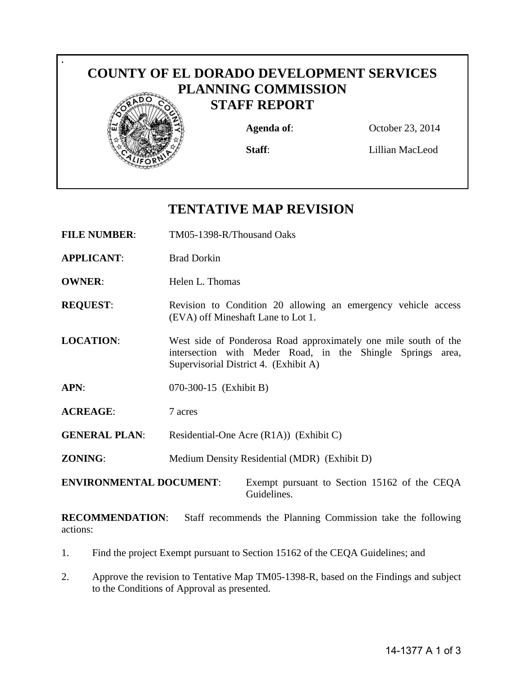

# **TENTATIVE MAP REVISION**

- **FILE NUMBER**: TM05-1398-R/Thousand Oaks
- **APPLICANT**: Brad Dorkin

**.**

- **OWNER:** Helen L. Thomas
- **REQUEST:** Revision to Condition 20 allowing an emergency vehicle access (EVA) off Mineshaft Lane to Lot 1.
- **LOCATION**: West side of Ponderosa Road approximately one mile south of the intersection with Meder Road, in the Shingle Springs area, Supervisorial District 4. (Exhibit A)
- **APN**: 070-300-15 (Exhibit B)
- **ACREAGE**: 7 acres
- **GENERAL PLAN:** Residential-One Acre (R1A)) (Exhibit C)
- **ZONING:** Medium Density Residential (MDR) (Exhibit D)

**ENVIRONMENTAL DOCUMENT**: Exempt pursuant to Section 15162 of the CEQA Guidelines.

**RECOMMENDATION**: Staff recommends the Planning Commission take the following actions:

- 1. Find the project Exempt pursuant to Section 15162 of the CEQA Guidelines; and
- 2. Approve the revision to Tentative Map TM05-1398-R, based on the Findings and subject to the Conditions of Approval as presented.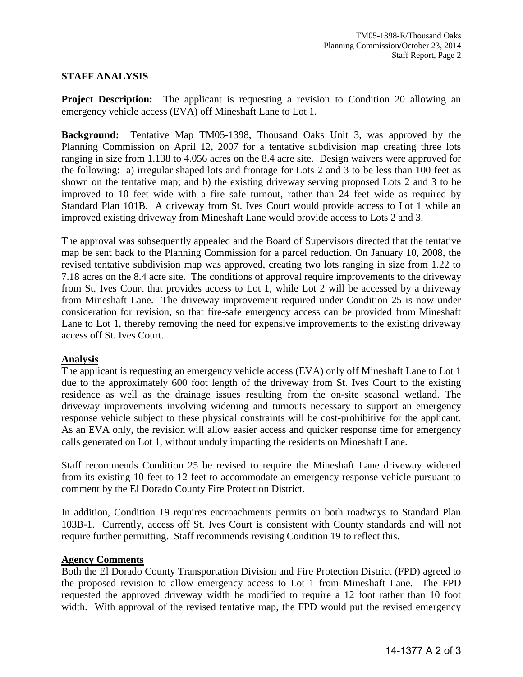### **STAFF ANALYSIS**

**Project Description:** The applicant is requesting a revision to Condition 20 allowing an emergency vehicle access (EVA) off Mineshaft Lane to Lot 1.

**Background:** Tentative Map TM05-1398, Thousand Oaks Unit 3, was approved by the Planning Commission on April 12, 2007 for a tentative subdivision map creating three lots ranging in size from 1.138 to 4.056 acres on the 8.4 acre site. Design waivers were approved for the following: a) irregular shaped lots and frontage for Lots 2 and 3 to be less than 100 feet as shown on the tentative map; and b) the existing driveway serving proposed Lots 2 and 3 to be improved to 10 feet wide with a fire safe turnout, rather than 24 feet wide as required by Standard Plan 101B. A driveway from St. Ives Court would provide access to Lot 1 while an improved existing driveway from Mineshaft Lane would provide access to Lots 2 and 3.

The approval was subsequently appealed and the Board of Supervisors directed that the tentative map be sent back to the Planning Commission for a parcel reduction. On January 10, 2008, the revised tentative subdivision map was approved, creating two lots ranging in size from 1.22 to 7.18 acres on the 8.4 acre site. The conditions of approval require improvements to the driveway from St. Ives Court that provides access to Lot 1, while Lot 2 will be accessed by a driveway from Mineshaft Lane. The driveway improvement required under Condition 25 is now under consideration for revision, so that fire-safe emergency access can be provided from Mineshaft Lane to Lot 1, thereby removing the need for expensive improvements to the existing driveway access off St. Ives Court.

#### **Analysis**

The applicant is requesting an emergency vehicle access (EVA) only off Mineshaft Lane to Lot 1 due to the approximately 600 foot length of the driveway from St. Ives Court to the existing residence as well as the drainage issues resulting from the on-site seasonal wetland. The driveway improvements involving widening and turnouts necessary to support an emergency response vehicle subject to these physical constraints will be cost-prohibitive for the applicant. As an EVA only, the revision will allow easier access and quicker response time for emergency calls generated on Lot 1, without unduly impacting the residents on Mineshaft Lane.

Staff recommends Condition 25 be revised to require the Mineshaft Lane driveway widened from its existing 10 feet to 12 feet to accommodate an emergency response vehicle pursuant to comment by the El Dorado County Fire Protection District.

In addition, Condition 19 requires encroachments permits on both roadways to Standard Plan 103B-1. Currently, access off St. Ives Court is consistent with County standards and will not require further permitting. Staff recommends revising Condition 19 to reflect this.

#### **Agency Comments**

Both the El Dorado County Transportation Division and Fire Protection District (FPD) agreed to the proposed revision to allow emergency access to Lot 1 from Mineshaft Lane. The FPD requested the approved driveway width be modified to require a 12 foot rather than 10 foot width. With approval of the revised tentative map, the FPD would put the revised emergency